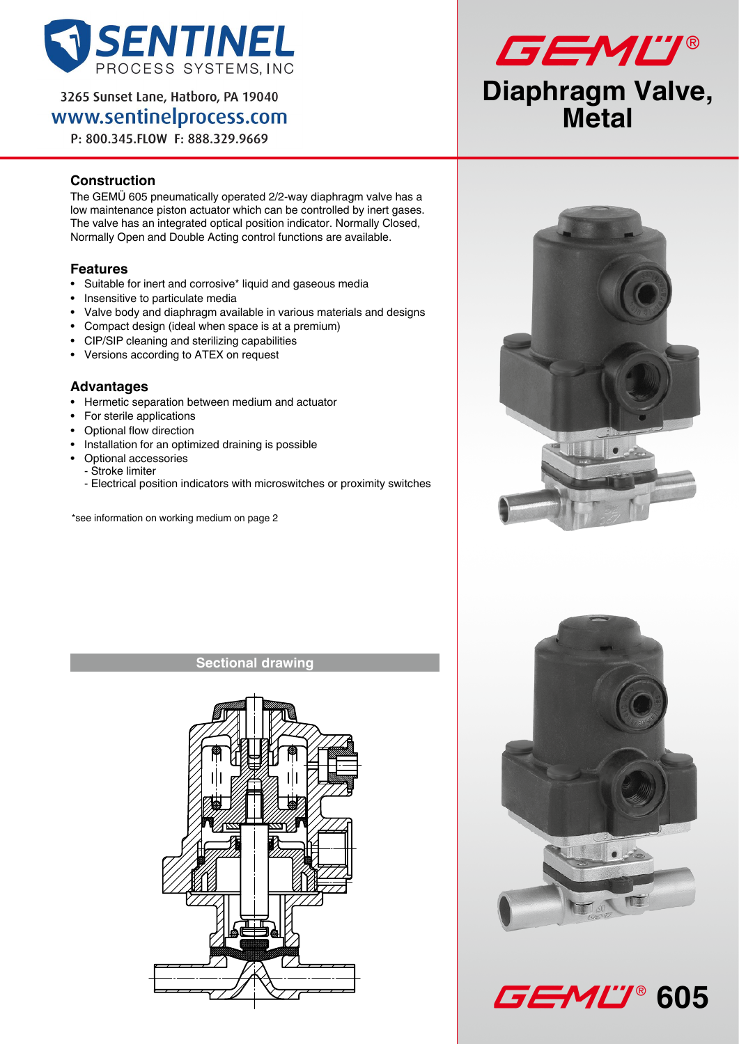

3265 Sunset Lane, Hatboro, PA 19040 www.sentinelprocess.com

P: 800.345.FLOW F: 888.329.9669

## **Construction**

The GEMÜ 605 pneumatically operated 2/2-way diaphragm valve has a low maintenance piston actuator which can be controlled by inert gases. The valve has an integrated optical position indicator. Normally Closed, Normally Open and Double Acting control functions are available.

### **Features**

- • Suitable for inert and corrosive\* liquid and gaseous media
- Insensitive to particulate media
- Valve body and diaphragm available in various materials and designs
- Compact design (ideal when space is at a premium)
- CIP/SIP cleaning and sterilizing capabilities
- • Versions according to ATEX on request

### **Advantages**

- • Hermetic separation between medium and actuator
- • For sterile applications
- • Optional flow direction
- Installation for an optimized draining is possible
- Optional accessories
- Stroke limiter
	- Electrical position indicators with microswitches or proximity switches

\*see information on working medium on page 2

### **Sectional drawing**









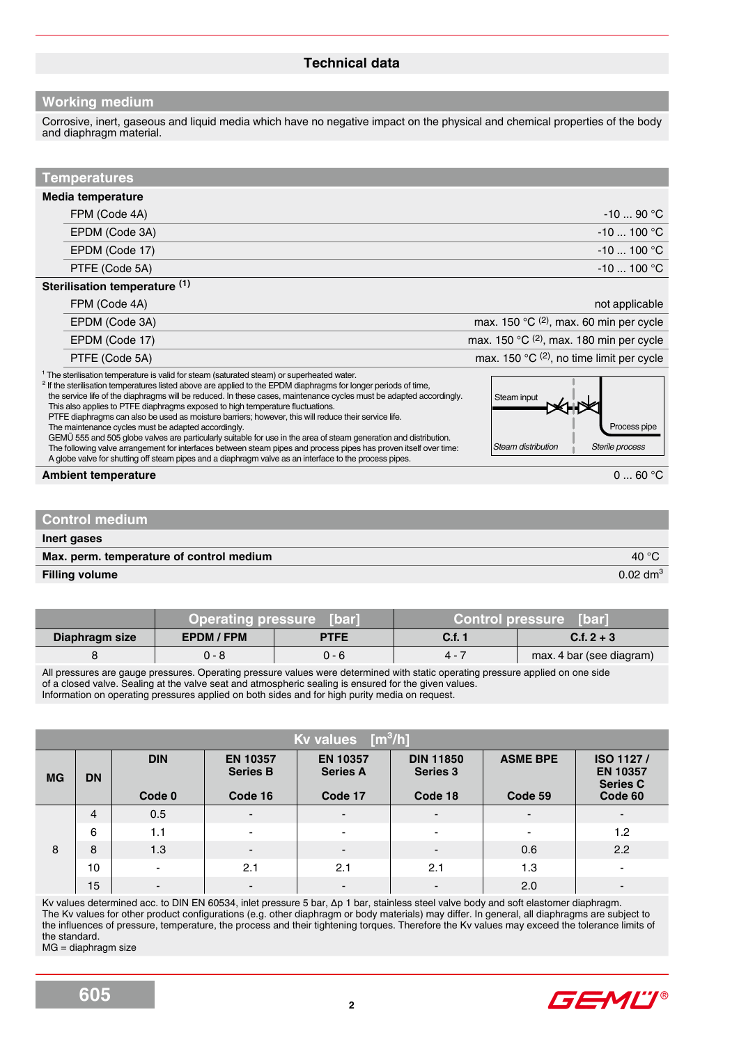### **Working medium**

Corrosive, inert, gaseous and liquid media which have no negative impact on the physical and chemical properties of the body and diaphragm material.

| <b>Temperatures</b>                                                                                                                                                                                                                                                                                                                                                                                                                                                                                                                                                                                                                                                                                                                                                                                                                                                                                                                                             |                                                                      |
|-----------------------------------------------------------------------------------------------------------------------------------------------------------------------------------------------------------------------------------------------------------------------------------------------------------------------------------------------------------------------------------------------------------------------------------------------------------------------------------------------------------------------------------------------------------------------------------------------------------------------------------------------------------------------------------------------------------------------------------------------------------------------------------------------------------------------------------------------------------------------------------------------------------------------------------------------------------------|----------------------------------------------------------------------|
| Media temperature                                                                                                                                                                                                                                                                                                                                                                                                                                                                                                                                                                                                                                                                                                                                                                                                                                                                                                                                               |                                                                      |
| FPM (Code 4A)                                                                                                                                                                                                                                                                                                                                                                                                                                                                                                                                                                                                                                                                                                                                                                                                                                                                                                                                                   | $-1090 °C$                                                           |
| EPDM (Code 3A)                                                                                                                                                                                                                                                                                                                                                                                                                                                                                                                                                                                                                                                                                                                                                                                                                                                                                                                                                  | $-10100$ °C                                                          |
| EPDM (Code 17)                                                                                                                                                                                                                                                                                                                                                                                                                                                                                                                                                                                                                                                                                                                                                                                                                                                                                                                                                  | $-10100$ °C                                                          |
| PTFE (Code 5A)                                                                                                                                                                                                                                                                                                                                                                                                                                                                                                                                                                                                                                                                                                                                                                                                                                                                                                                                                  | $-10$ 100 °C                                                         |
| Sterilisation temperature (1)                                                                                                                                                                                                                                                                                                                                                                                                                                                                                                                                                                                                                                                                                                                                                                                                                                                                                                                                   |                                                                      |
| FPM (Code 4A)                                                                                                                                                                                                                                                                                                                                                                                                                                                                                                                                                                                                                                                                                                                                                                                                                                                                                                                                                   | not applicable                                                       |
| EPDM (Code 3A)                                                                                                                                                                                                                                                                                                                                                                                                                                                                                                                                                                                                                                                                                                                                                                                                                                                                                                                                                  | max. 150 $^{\circ}$ C <sup>(2)</sup> , max. 60 min per cycle         |
| EPDM (Code 17)                                                                                                                                                                                                                                                                                                                                                                                                                                                                                                                                                                                                                                                                                                                                                                                                                                                                                                                                                  | max. 150 $^{\circ}$ C (2), max. 180 min per cycle                    |
| PTFE (Code 5A)                                                                                                                                                                                                                                                                                                                                                                                                                                                                                                                                                                                                                                                                                                                                                                                                                                                                                                                                                  | max. 150 $^{\circ}$ C (2), no time limit per cycle                   |
| <sup>1</sup> The sterilisation temperature is valid for steam (saturated steam) or superheated water.<br><sup>2</sup> If the sterilisation temperatures listed above are applied to the EPDM diaphragms for longer periods of time,<br>the service life of the diaphragms will be reduced. In these cases, maintenance cycles must be adapted accordingly.<br>This also applies to PTFE diaphragms exposed to high temperature fluctuations.<br>PTFE diaphragms can also be used as moisture barriers; however, this will reduce their service life.<br>The maintenance cycles must be adapted accordingly.<br>GEMÜ 555 and 505 globe valves are particularly suitable for use in the area of steam generation and distribution.<br>The following valve arrangement for interfaces between steam pipes and process pipes has proven itself over time:<br>A globe valve for shutting off steam pipes and a diaphragm valve as an interface to the process pipes. | Steam input<br>Process pipe<br>Steam distribution<br>Sterile process |
| <b>Ambient temperature</b>                                                                                                                                                                                                                                                                                                                                                                                                                                                                                                                                                                                                                                                                                                                                                                                                                                                                                                                                      | 060 °C                                                               |
|                                                                                                                                                                                                                                                                                                                                                                                                                                                                                                                                                                                                                                                                                                                                                                                                                                                                                                                                                                 |                                                                      |
| <b>Control medium</b>                                                                                                                                                                                                                                                                                                                                                                                                                                                                                                                                                                                                                                                                                                                                                                                                                                                                                                                                           |                                                                      |

| Inert gases                              |                     |
|------------------------------------------|---------------------|
| Max. perm. temperature of control medium | 40 $\degree$ C      |
| <b>Filling volume</b>                    | $0.02 \text{ dm}^3$ |

|                | Operating pressure [bar] |             | Control pressure [bar] |                          |  |
|----------------|--------------------------|-------------|------------------------|--------------------------|--|
| Diaphragm size | EPDM / FPM               | <b>PTFE</b> | C.f. 1                 | $C.f. 2 + 3$             |  |
|                | በ - ጸ                    | $0 - 6$     | $4 -$                  | max. 4 bar (see diagram) |  |

All pressures are gauge pressures. Operating pressure values were determined with static operating pressure applied on one side of a closed valve. Sealing at the valve seat and atmospheric sealing is ensured for the given values. Information on operating pressures applied on both sides and for high purity media on request.

|           | Kv values $[m^3/h]$     |                          |                                    |                                                        |                          |                 |                                                 |  |  |  |
|-----------|-------------------------|--------------------------|------------------------------------|--------------------------------------------------------|--------------------------|-----------------|-------------------------------------------------|--|--|--|
| <b>MG</b> | <b>DIN</b><br><b>DN</b> |                          | <b>EN 10357</b><br><b>Series B</b> | <b>DIN 11850</b><br><b>EN 10357</b><br><b>Series A</b> |                          | <b>ASME BPE</b> | ISO 1127/<br><b>EN 10357</b><br><b>Series C</b> |  |  |  |
|           |                         | Code 0                   | Code 16                            | Code 17                                                | Code 18                  | Code 59         | Code 60                                         |  |  |  |
| 8         | 4                       | 0.5                      | $\overline{\phantom{0}}$           | $\blacksquare$                                         | $\overline{\phantom{0}}$ | $\blacksquare$  | $\blacksquare$                                  |  |  |  |
|           | 6                       | 1.1                      | $\overline{\phantom{0}}$           | $\overline{\phantom{a}}$                               | $\blacksquare$           | $\blacksquare$  | 1.2                                             |  |  |  |
|           | 8                       | 1.3                      | $\overline{\phantom{0}}$           | $\overline{\phantom{a}}$                               | $\blacksquare$           | 0.6             | 2.2                                             |  |  |  |
|           | 10                      | $\overline{\phantom{a}}$ | 2.1                                | 2.1                                                    | 2.1                      | 1.3             | $\blacksquare$                                  |  |  |  |
|           | 15                      | $\overline{a}$           | $\overline{\phantom{0}}$           | $\blacksquare$                                         | $\overline{\phantom{a}}$ | 2.0             | $\blacksquare$                                  |  |  |  |

Kv values determined acc. to DIN EN 60534, inlet pressure 5 bar, ∆p 1 bar, stainless steel valve body and soft elastomer diaphragm. The Kv values for other product configurations (e.g. other diaphragm or body materials) may differ. In general, all diaphragms are subject to the influences of pressure, temperature, the process and their tightening torques. Therefore the Kv values may exceed the tolerance limits of the standard.

MG = diaphragm size

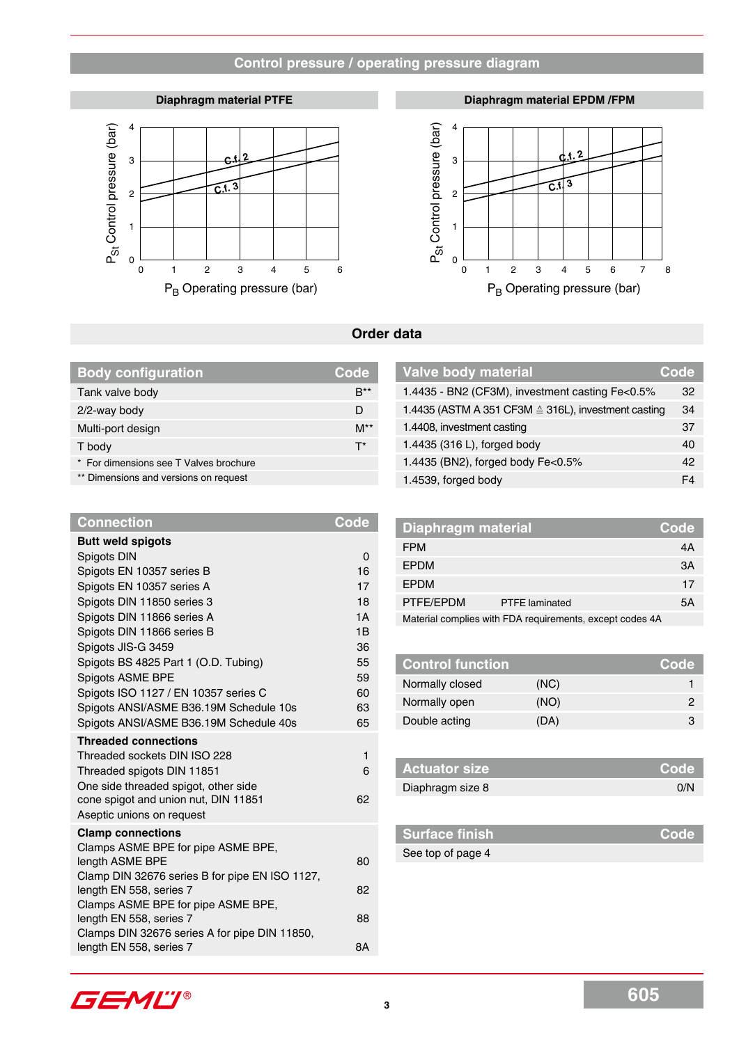### **Control pressure / operating pressure diagram**

#### **Diaphragm material PTFE**



**Diaphragm material EPDM /FPM**



#### **Order data**

| <b>Body configuration</b>              | Code             | Valve body material                                 | Code           |
|----------------------------------------|------------------|-----------------------------------------------------|----------------|
| Tank valve body                        | $B^{\ast\ast}$   | 1.4435 - BN2 (CF3M), investment casting Fe<0.5%     | 32             |
| 2/2-way body                           | D                | 1.4435 (ASTM A 351 CF3M ≙ 316L), investment casting | 34             |
| Multi-port design                      | $M^{\star\star}$ | 1.4408, investment casting                          | 37             |
| T body                                 | $T^*$            | 1.4435 (316 L), forged body                         | 40             |
| * For dimensions see T Valves brochure |                  | 1.4435 (BN2), forged body Fe<0.5%                   | 42             |
| ** Dimensions and versions on request  |                  | 1.4539, forged body                                 | F <sub>4</sub> |

| <b>Connection</b>                              | <b>Code</b> | <b>Diaphragm material</b> |                                                          | Code |
|------------------------------------------------|-------------|---------------------------|----------------------------------------------------------|------|
| <b>Butt weld spigots</b>                       |             | <b>FPM</b>                |                                                          | 4A   |
| Spigots DIN                                    | $\Omega$    | <b>EPDM</b>               |                                                          | 3A   |
| Spigots EN 10357 series B                      | 16          |                           |                                                          |      |
| Spigots EN 10357 series A                      | 17          | <b>EPDM</b>               |                                                          | 17   |
| Spigots DIN 11850 series 3                     | 18          | PTFE/EPDM                 | <b>PTFE</b> laminated                                    | 5A   |
| Spigots DIN 11866 series A                     | 1A          |                           | Material complies with FDA requirements, except codes 4A |      |
| Spigots DIN 11866 series B                     | 1B          |                           |                                                          |      |
| Spigots JIS-G 3459                             | 36          |                           |                                                          |      |
| Spigots BS 4825 Part 1 (O.D. Tubing)           | 55          | <b>Control function</b>   |                                                          | Code |
| Spigots ASME BPE                               | 59          | Normally closed           | (NC)                                                     | 1    |
| Spigots ISO 1127 / EN 10357 series C           | 60          |                           |                                                          |      |
| Spigots ANSI/ASME B36.19M Schedule 10s         | 63          | Normally open             | (NO)                                                     | 2    |
| Spigots ANSI/ASME B36.19M Schedule 40s         | 65          | Double acting             | (DA)                                                     | 3    |
| <b>Threaded connections</b>                    |             |                           |                                                          |      |
| Threaded sockets DIN ISO 228                   | 1           |                           |                                                          |      |
| Threaded spigots DIN 11851                     | 6           | <b>Actuator size</b>      |                                                          | Code |
| One side threaded spigot, other side           |             | Diaphragm size 8          |                                                          | 0/N  |
| cone spigot and union nut, DIN 11851           | 62          |                           |                                                          |      |
| Aseptic unions on request                      |             |                           |                                                          |      |
| <b>Clamp connections</b>                       |             | <b>Surface finish</b>     |                                                          | Code |
| Clamps ASME BPE for pipe ASME BPE,             |             | See top of page 4         |                                                          |      |
| length ASME BPE                                | 80          |                           |                                                          |      |
| Clamp DIN 32676 series B for pipe EN ISO 1127, |             |                           |                                                          |      |
| length EN 558, series 7                        | 82          |                           |                                                          |      |

| Diaphragm material |                                                          | <b>Code</b> |
|--------------------|----------------------------------------------------------|-------------|
| <b>FPM</b>         |                                                          | 4A          |
| <b>EPDM</b>        |                                                          | 3A          |
| <b>EPDM</b>        |                                                          | 17          |
| PTFE/EPDM          | <b>PTFE</b> laminated                                    | 5Α          |
|                    | Material complies with FDA requirements, except codes 4A |             |

| <b>Actuator size</b> | l Code' |
|----------------------|---------|
| Diaphragm size 8     | 0/N     |

| <b>Surface finish</b> | Code |
|-----------------------|------|
| See top of page 4     |      |

GEML'I®

Clamps ASME BPE for pipe ASME BPE,

Clamps DIN 32676 series A for pipe DIN 11850,

length EN 558, series 7 88

length EN 558, series 7 8A

**Connection**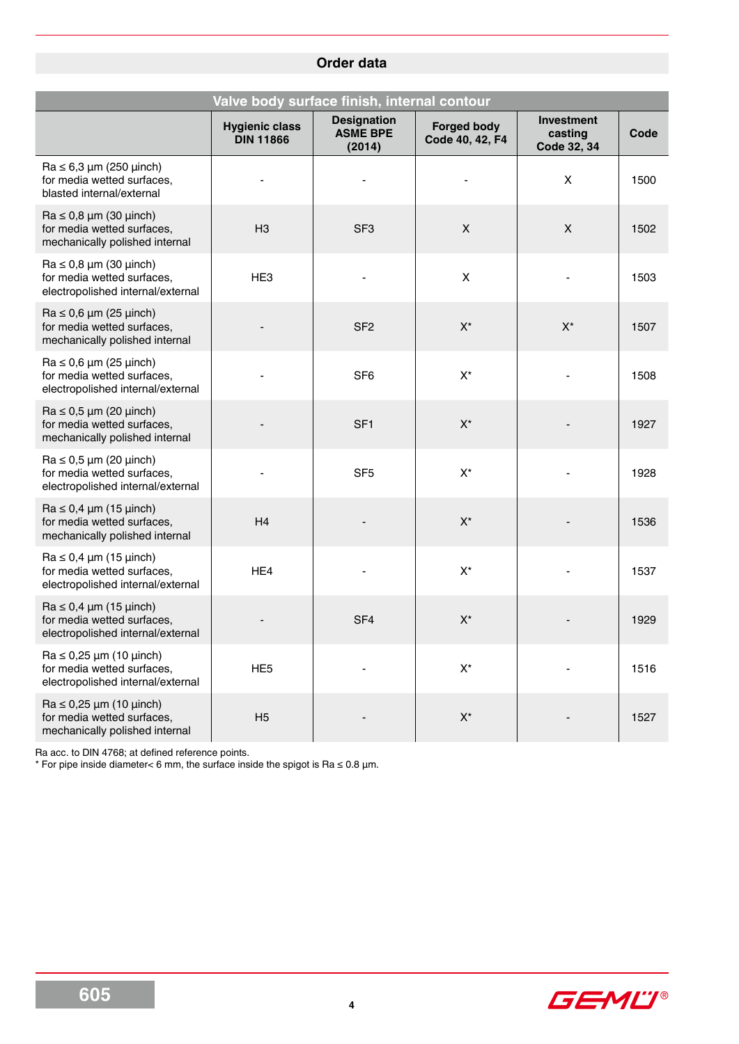# **Order data**

| Valve body surface finish, internal contour                                                            |                                           |                                                 |                                       |                                             |      |  |  |  |  |
|--------------------------------------------------------------------------------------------------------|-------------------------------------------|-------------------------------------------------|---------------------------------------|---------------------------------------------|------|--|--|--|--|
|                                                                                                        | <b>Hygienic class</b><br><b>DIN 11866</b> | <b>Designation</b><br><b>ASME BPE</b><br>(2014) | <b>Forged body</b><br>Code 40, 42, F4 | <b>Investment</b><br>casting<br>Code 32, 34 | Code |  |  |  |  |
| $Ra \le 6.3 \mu m$ (250 $\mu$ inch)<br>for media wetted surfaces,<br>blasted internal/external         |                                           |                                                 |                                       | X                                           | 1500 |  |  |  |  |
| $Ra \le 0.8 \mu m$ (30 $\mu$ inch)<br>for media wetted surfaces,<br>mechanically polished internal     | H3                                        | SF <sub>3</sub>                                 | X                                     | X                                           | 1502 |  |  |  |  |
| $Ra \le 0.8 \mu m$ (30 $\mu$ inch)<br>for media wetted surfaces,<br>electropolished internal/external  | HE <sub>3</sub>                           |                                                 | $\pmb{\times}$                        |                                             | 1503 |  |  |  |  |
| $Ra \le 0.6 \mu m (25 \mu inch)$<br>for media wetted surfaces,<br>mechanically polished internal       |                                           | SF <sub>2</sub>                                 | $X^*$                                 | $X^*$                                       | 1507 |  |  |  |  |
| $Ra \le 0.6 \mu m (25 \mu inch)$<br>for media wetted surfaces,<br>electropolished internal/external    |                                           | SF <sub>6</sub>                                 | $X^*$                                 |                                             | 1508 |  |  |  |  |
| $Ra \le 0.5 \mu m$ (20 $\mu$ inch)<br>for media wetted surfaces.<br>mechanically polished internal     |                                           | SF <sub>1</sub>                                 | $X^*$                                 |                                             | 1927 |  |  |  |  |
| $Ra \le 0.5 \mu m$ (20 $\mu$ inch)<br>for media wetted surfaces,<br>electropolished internal/external  |                                           | SF <sub>5</sub>                                 | $X^*$                                 |                                             | 1928 |  |  |  |  |
| $Ra \le 0.4 \mu m (15 \mu inch)$<br>for media wetted surfaces,<br>mechanically polished internal       | H4                                        |                                                 | $X^*$                                 |                                             | 1536 |  |  |  |  |
| $Ra \leq 0.4 \mu m$ (15 $\mu$ inch)<br>for media wetted surfaces,<br>electropolished internal/external | HE4                                       |                                                 | $X^*$                                 |                                             | 1537 |  |  |  |  |
| $Ra \le 0.4 \mu m (15 \mu inch)$<br>for media wetted surfaces,<br>electropolished internal/external    |                                           | SF <sub>4</sub>                                 | $X^*$                                 |                                             | 1929 |  |  |  |  |
| $Ra \le 0.25 \mu m$ (10 $\mu$ inch)<br>for media wetted surfaces,<br>electropolished internal/external | HE <sub>5</sub>                           |                                                 | $X^*$                                 |                                             | 1516 |  |  |  |  |
| $Ra \le 0.25 \mu m$ (10 $\mu$ inch)<br>for media wetted surfaces,<br>mechanically polished internal    | H <sub>5</sub>                            |                                                 | $X^*$                                 |                                             | 1527 |  |  |  |  |

Ra acc. to DIN 4768; at defined reference points.

\* For pipe inside diameter< 6 mm, the surface inside the spigot is Ra ≤ 0.8 µm.

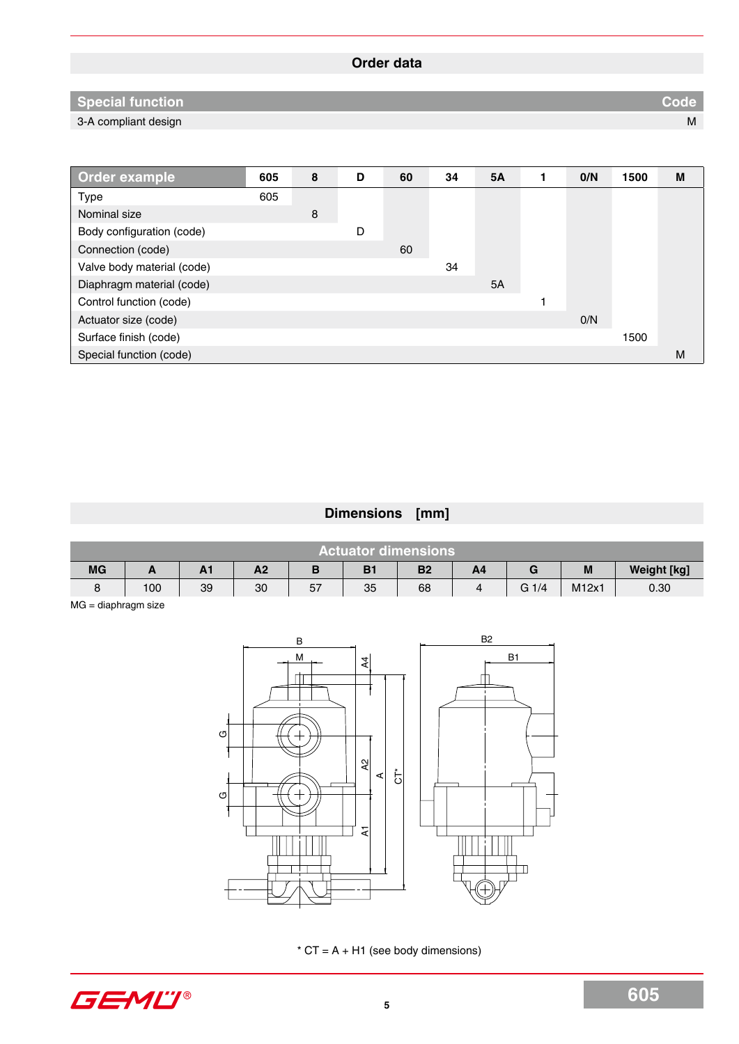# **Order data**

# **Special function Code**

3-A compliant design M

| Order example              | 605 | 8 | D | 60 | 34 | <b>5A</b> | 0/N | 1500 | М |
|----------------------------|-----|---|---|----|----|-----------|-----|------|---|
| <b>Type</b>                | 605 |   |   |    |    |           |     |      |   |
| Nominal size               |     | 8 |   |    |    |           |     |      |   |
| Body configuration (code)  |     |   | D |    |    |           |     |      |   |
| Connection (code)          |     |   |   | 60 |    |           |     |      |   |
| Valve body material (code) |     |   |   |    | 34 |           |     |      |   |
| Diaphragm material (code)  |     |   |   |    |    | 5A        |     |      |   |
| Control function (code)    |     |   |   |    |    |           |     |      |   |
| Actuator size (code)       |     |   |   |    |    |           | O/N |      |   |
| Surface finish (code)      |     |   |   |    |    |           |     | 1500 |   |
| Special function (code)    |     |   |   |    |    |           |     |      | M |

# **Dimensions [mm]**

| Actuator dimensions <sup>'</sup> |          |         |                |    |    |           |    |         |                   |                    |  |  |  |  |
|----------------------------------|----------|---------|----------------|----|----|-----------|----|---------|-------------------|--------------------|--|--|--|--|
| <b>MG</b>                        | <b>1</b> | <b></b> | A <sub>2</sub> |    |    | <b>B2</b> | A4 |         | M                 | <b>Weight [kg]</b> |  |  |  |  |
|                                  | 100      | 39      | 30             | 57 | 35 | 68        |    | $G_1/4$ | M <sub>12x1</sub> | 0.30               |  |  |  |  |

MG = diaphragm size



 $*$  CT = A + H1 (see body dimensions)

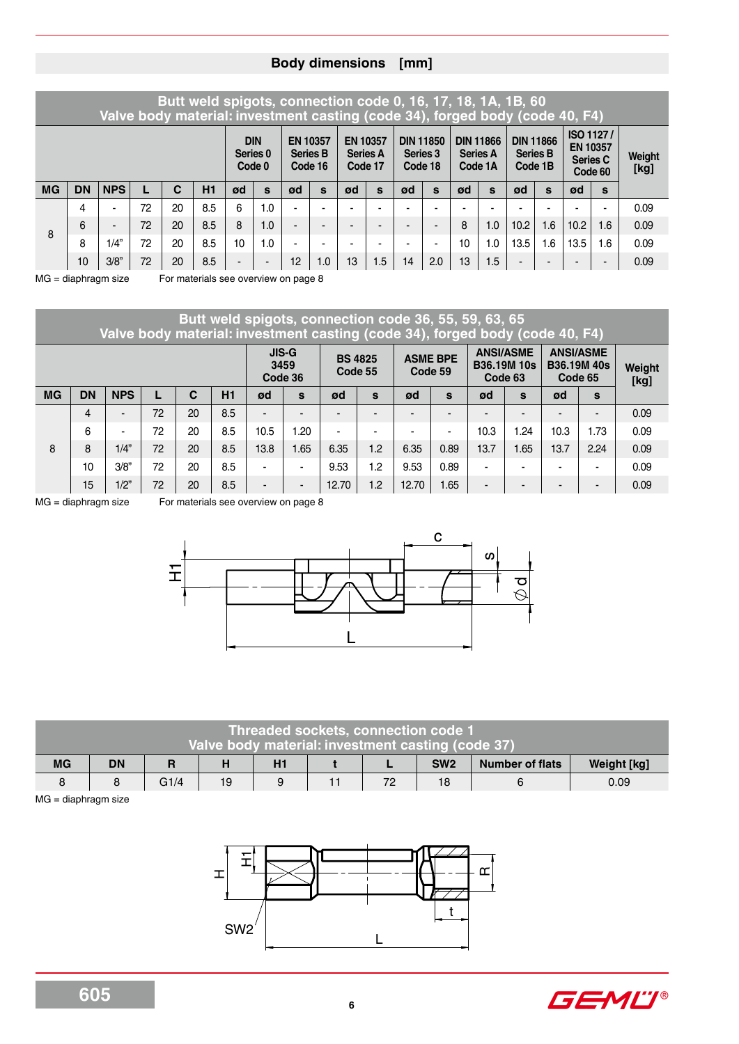### **Body dimensions [mm]**

## **Butt weld spigots, connection code 0, 16, 17, 18, 1A, 1B, 60 Valve body material: investment casting (code 34), forged body (code 40, F4)**

|           |           |                |    | <b>DIN</b><br>Series <sub>0</sub><br>Code 0 |     |                          | <b>EN 10357</b><br><b>Series B</b><br>Code 16 |    | <b>EN 10357</b><br><b>Series A</b><br>Code 17 |    | <b>DIN 11850</b><br>Series 3<br>Code 18 |                          | <b>DIN 11866</b><br><b>Series A</b><br>Code 1A |    | <b>DIN 11866</b><br><b>Series B</b><br>Code 1B |      | <b>ISO 1127/</b><br><b>EN 10357</b><br><b>Series C</b><br>Code 60 | Weight<br>[kg] |     |      |  |
|-----------|-----------|----------------|----|---------------------------------------------|-----|--------------------------|-----------------------------------------------|----|-----------------------------------------------|----|-----------------------------------------|--------------------------|------------------------------------------------|----|------------------------------------------------|------|-------------------------------------------------------------------|----------------|-----|------|--|
| <b>MG</b> | <b>DN</b> | <b>NPS</b>     |    | С                                           | H1  | ød                       | S                                             | ød | S                                             | ød | S                                       | ød                       | s                                              | ØO | s                                              | ØO   | S                                                                 | ød             | S   |      |  |
| 8         | 4         | -              | 72 | 20                                          | 8.5 | 6                        | 0.،                                           |    | -                                             | -  |                                         | -                        | -                                              |    | -                                              |      |                                                                   | -              | -   | 0.09 |  |
|           | 6         | $\blacksquare$ | 72 | 20                                          | 8.5 | 8                        | 1.0                                           |    | -                                             | -  |                                         | $\overline{\phantom{0}}$ | $\overline{\phantom{0}}$                       | 8  | 1.0                                            | 10.2 | .6 <sub>1</sub>                                                   | 10.2           | 1.6 | 0.09 |  |
|           | 8         | "1/4           | 72 | 20                                          | 8.5 | 10                       | .0                                            |    |                                               |    |                                         |                          | -                                              | 10 | 0.ا                                            | 13.5 | .6                                                                | 13.5           | .6  | 0.09 |  |
|           | 10        | 3/8"           | 72 | 20                                          | 8.5 | $\overline{\phantom{a}}$ | $\blacksquare$                                | 12 | 0.1                                           | 13 | 1.5                                     | 14                       | 2.0                                            | 13 | 1.5                                            | -    | -                                                                 |                | -   | 0.09 |  |

MG = diaphragm size For materials see overview on page 8

**Butt weld spigots, connection code 36, 55, 59, 63, 65 Valve body material: investment casting (code 34), forged body (code 40, F4) JIS-G 3459 BS 4825 Code 55 ASME BPE Code 59 ANSI/ASME B36.19M 10s ANSI/ASME B36.19M 40s Code 65 Weight**

|    |    |                |    |    |     |                          | Code 36                  |       |                          |       | ------ |                          | Code 63 | Code 65        | [kg]           |      |
|----|----|----------------|----|----|-----|--------------------------|--------------------------|-------|--------------------------|-------|--------|--------------------------|---------|----------------|----------------|------|
| MG | DN | <b>NPS</b>     |    | C  | H1  | ød                       | S                        | ød    | s                        | ød    | s      | ød                       | S       | ød             | S              |      |
| 8  | 4  | $\blacksquare$ | 72 | 20 | 8.5 | -                        | $\overline{\phantom{a}}$ | -     | $\blacksquare$           |       | -      | $\blacksquare$           |         | -              | $\blacksquare$ | 0.09 |
|    | 6  | $\blacksquare$ | 72 | 20 | 8.5 | 10.5                     | 1.20                     | -     | $\overline{\phantom{0}}$ | -     |        | 10.3                     | .24     | 10.3           | 1.73           | 0.09 |
|    | 8  | 1/4"           | 72 | 20 | 8.5 | 13.8                     | 1.65                     | 6.35  | 1.2                      | 6.35  | 0.89   | 13.7                     | .65     | 13.7           | 2.24           | 0.09 |
|    | 10 | 3/8"           | 72 | 20 | 8.5 | -                        | $\blacksquare$           | 9.53  | 1.2                      | 9.53  | 0.89   | $\overline{\phantom{0}}$ |         | $\blacksquare$ | $\blacksquare$ | 0.09 |
|    | 15 | 1/2"           | 72 | 20 | 8.5 | $\overline{\phantom{a}}$ | $\blacksquare$           | 12.70 | 1.2                      | 12.70 | 1.65   | $\overline{\phantom{0}}$ | -       | -              | $\blacksquare$ | 0.09 |

MG = diaphragm size For materials see overview on page 8



| <b>Threaded sockets, connection code 1</b><br>Valve body material: investment casting (code 37) |           |      |    |  |  |    |                 |                        |             |  |  |  |  |
|-------------------------------------------------------------------------------------------------|-----------|------|----|--|--|----|-----------------|------------------------|-------------|--|--|--|--|
| <b>MG</b>                                                                                       | <b>DN</b> |      |    |  |  |    | SW <sub>2</sub> | <b>Number of flats</b> | Weight [kg] |  |  |  |  |
|                                                                                                 |           | G1/4 | 19 |  |  | 72 | 18              |                        | 0.09        |  |  |  |  |

MG = diaphragm size



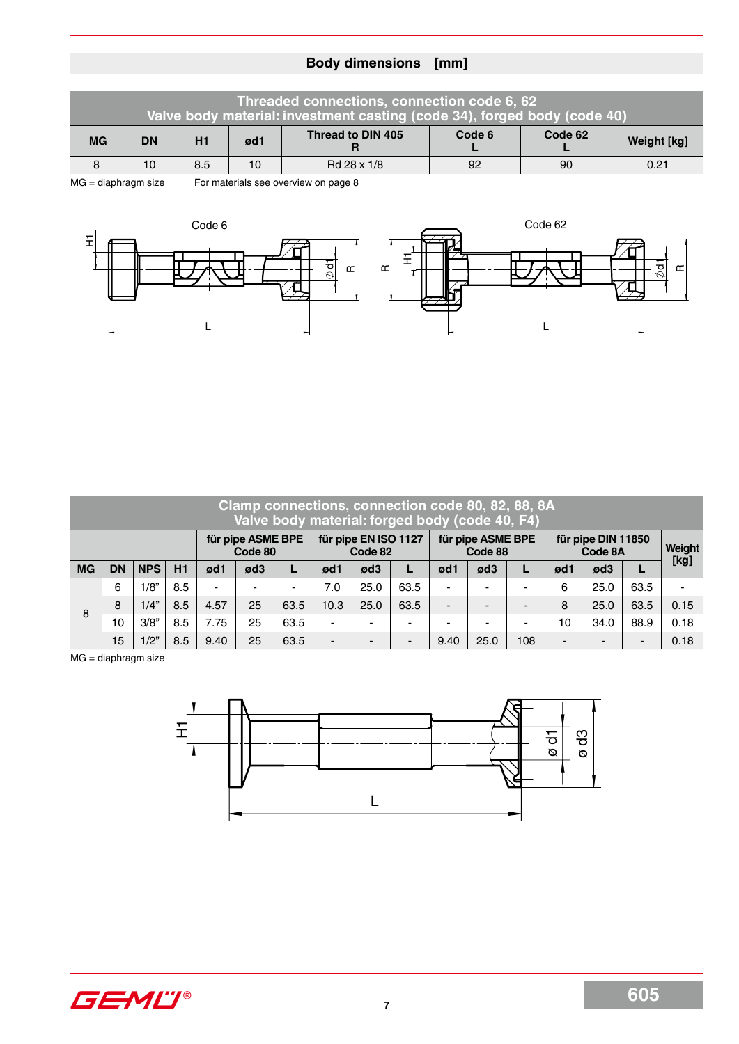# **Body dimensions [mm]**

| Threaded connections, connection code 6, 62<br>Valve body material: investment casting (code 34), forged body (code 40) |           |     |                                      |                   |        |         |             |  |  |  |  |  |  |
|-------------------------------------------------------------------------------------------------------------------------|-----------|-----|--------------------------------------|-------------------|--------|---------|-------------|--|--|--|--|--|--|
| <b>MG</b>                                                                                                               | <b>DN</b> | H1  | ød1                                  | Thread to DIN 405 | Code 6 | Code 62 | Weight [kg] |  |  |  |  |  |  |
| 8                                                                                                                       | 10        | 8.5 | 10                                   | Rd 28 x 1/8       | 92     | -90     | 0.21        |  |  |  |  |  |  |
| $MG = diaphragm size$                                                                                                   |           |     | For materials see overview on page 8 |                   |        |         |             |  |  |  |  |  |  |



| Clamp connections, connection code 80, 82, 88, 8A<br>Valve body material: forged body (code 40, F4) |           |            |     |      |                              |      |                          |                                 |                |                          |                              |     |                               |        |      |      |  |  |  |
|-----------------------------------------------------------------------------------------------------|-----------|------------|-----|------|------------------------------|------|--------------------------|---------------------------------|----------------|--------------------------|------------------------------|-----|-------------------------------|--------|------|------|--|--|--|
|                                                                                                     |           |            |     |      | für pipe ASME BPE<br>Code 80 |      |                          | für pipe EN ISO 1127<br>Code 82 |                |                          | für pipe ASME BPE<br>Code 88 |     | für pipe DIN 11850<br>Code 8A | Weight |      |      |  |  |  |
| <b>MG</b>                                                                                           | <b>DN</b> | <b>NPS</b> | H1  | ød1  | ød3                          | L    | ød1                      | ød3                             |                | ød1                      | ød3                          |     | ød1                           | ød3    | L    | [kg] |  |  |  |
| 8                                                                                                   | 6         | 1/8"       | 8.5 |      |                              | ٠    | 7.0                      | 25.0                            | 63.5           |                          |                              |     | 6                             | 25.0   | 63.5 |      |  |  |  |
|                                                                                                     | 8         | 1/4"       | 8.5 | 4.57 | 25                           | 63.5 | 10.3                     | 25.0                            | 63.5           | $\overline{\phantom{a}}$ | -                            |     | 8                             | 25.0   | 63.5 | 0.15 |  |  |  |
|                                                                                                     | 10        | 3/8"       | 8.5 | 7.75 | 25                           | 63.5 | -                        | $\overline{\phantom{0}}$        | $\blacksquare$ |                          |                              |     | 10                            | 34.0   | 88.9 | 0.18 |  |  |  |
|                                                                                                     | 15        | 1/2"       | 8.5 | 9.40 | 25                           | 63.5 | $\overline{\phantom{0}}$ | -                               | $\blacksquare$ | 9.40                     | 25.0                         | 108 | $\blacksquare$                |        | -    | 0.18 |  |  |  |

 $MG = diaphragm size$